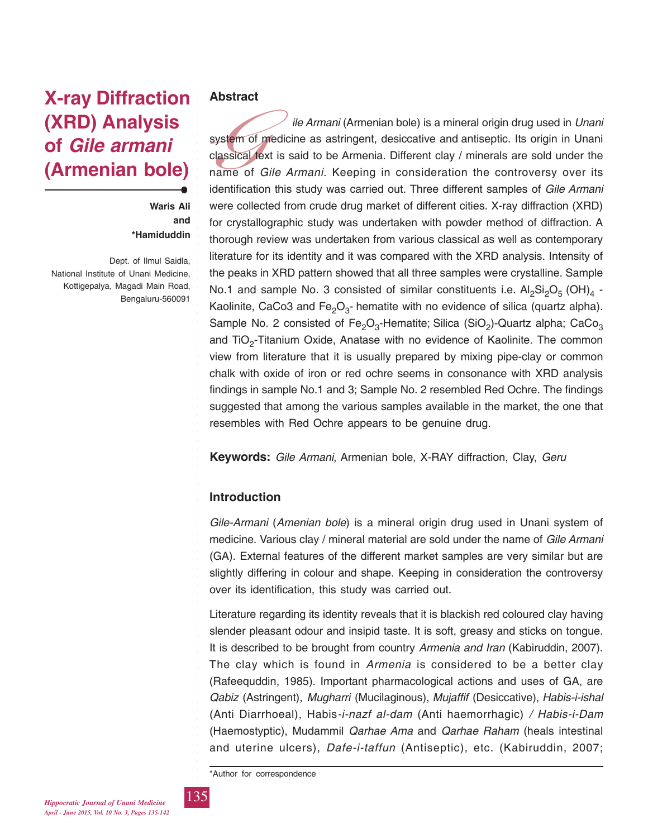# **X-ray Diffraction (XRD) Analysis of** *Gile armani* **(Armenian bole)**

**Waris Ali and \*Hamiduddin**

Dept. of Ilmul Saidla, National Institute of Unani Medicine, Kottigepalya, Magadi Main Road, Bengaluru-560091

## **Abstract**

system<br>classical<br>name o<br>identifica *ile Armani* (Armenian bole) is a mineral origin drug used in *Unani* system of medicine as astringent, desiccative and antiseptic. Its origin in Unani classical text is said to be Armenia. Different clay / minerals are sold under the name of *Gile Armani*. Keeping in consideration the controversy over its identification this study was carried out. Three different samples of *Gile Armani* were collected from crude drug market of different cities. X-ray diffraction (XRD) for crystallographic study was undertaken with powder method of diffraction. A thorough review was undertaken from various classical as well as contemporary literature for its identity and it was compared with the XRD analysis. Intensity of the peaks in XRD pattern showed that all three samples were crystalline. Sample No.1 and sample No. 3 consisted of similar constituents i.e.  $Al_2Si_2O_5$  (OH)<sub>4</sub> -Kaolinite, CaCo3 and  $Fe<sub>2</sub>O<sub>3</sub>$ - hematite with no evidence of silica (quartz alpha). Sample No. 2 consisted of Fe<sub>2</sub>O<sub>3</sub>-Hematite; Silica (SiO<sub>2</sub>)-Quartz alpha; CaCo<sub>3</sub> and TiO<sub>2</sub>-Titanium Oxide, Anatase with no evidence of Kaolinite. The common view from literature that it is usually prepared by mixing pipe-clay or common chalk with oxide of iron or red ochre seems in consonance with XRD analysis findings in sample No.1 and 3; Sample No. 2 resembled Red Ochre. The findings suggested that among the various samples available in the market, the one that resembles with Red Ochre appears to be genuine drug.

**Keywords:** *Gile Armani*, Armenian bole, X-RAY diffraction, Clay, *Geru*

## **Introduction**

*Gile-Armani* (*Amenian bole*) is a mineral origin drug used in Unani system of medicine. Various clay / mineral material are sold under the name of *Gile Armani* (GA). External features of the different market samples are very similar but are slightly differing in colour and shape. Keeping in consideration the controversy over its identification, this study was carried out.

Literature regarding its identity reveals that it is blackish red coloured clay having slender pleasant odour and insipid taste. It is soft, greasy and sticks on tongue. It is described to be brought from country *Armenia and Iran* (Kabiruddin, 2007). The clay which is found in *Armenia* is considered to be a better clay (Rafeequddin, 1985). Important pharmacological actions and uses of GA, are *Qabiz* (Astringent), *Mugharri* (Mucilaginous), *Mujaffif* (Desiccative), *Habis-i-ishal* (Anti Diarrhoeal), Habis*-i-nazf al-dam* (Anti haemorrhagic) */ Habis-i-Dam* (Haemostyptic), Mudammil *Qarhae Ama* and *Qarhae Raham* (heals intestinal and uterine ulcers), *Dafe-i-taffun* (Antiseptic), etc. (Kabiruddin, 2007;

\*Author for correspondence

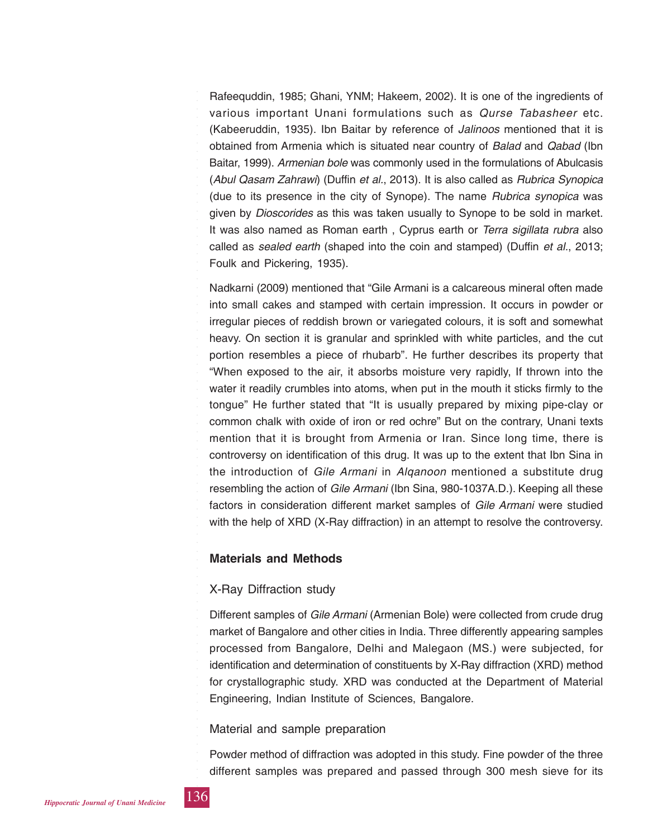Rafeequddin, 1985; Ghani, YNM; Hakeem, 2002). It is one of the ingredients of various important Unani formulations such as *Qurse Tabasheer* etc. (Kabeeruddin, 1935). Ibn Baitar by reference of *Jalinoos* mentioned that it is obtained from Armenia which is situated near country of *Balad* and *Qabad* (Ibn Baitar, 1999). *Armenian bole* was commonly used in the formulations of Abulcasis (*Abul Qasam Zahrawi*) (Duffin *et al.*, 2013). It is also called as *Rubrica Synopica* (due to its presence in the city of Synope). The name *Rubrica synopica* was given by *Dioscorides* as this was taken usually to Synope to be sold in market. It was also named as Roman earth , Cyprus earth or *Terra sigillata rubra* also called as *sealed earth* (shaped into the coin and stamped) (Duffin *et al.*, 2013; Foulk and Pickering, 1935).

Nadkarni (2009) mentioned that "Gile Armani is a calcareous mineral often made into small cakes and stamped with certain impression. It occurs in powder or irregular pieces of reddish brown or variegated colours, it is soft and somewhat heavy. On section it is granular and sprinkled with white particles, and the cut portion resembles a piece of rhubarb". He further describes its property that "When exposed to the air, it absorbs moisture very rapidly, If thrown into the water it readily crumbles into atoms, when put in the mouth it sticks firmly to the tongue" He further stated that "It is usually prepared by mixing pipe-clay or common chalk with oxide of iron or red ochre" But on the contrary, Unani texts mention that it is brought from Armenia or Iran. Since long time, there is controversy on identification of this drug. It was up to the extent that Ibn Sina in the introduction of *Gile Armani* in *Alqanoon* mentioned a substitute drug resembling the action of *Gile Armani* (Ibn Sina, 980-1037A.D.). Keeping all these factors in consideration different market samples of *Gile Armani* were studied with the help of XRD (X-Ray diffraction) in an attempt to resolve the controversy.

## **Materials and Methods**

## X-Ray Diffraction study

Different samples of *Gile Armani* (Armenian Bole) were collected from crude drug market of Bangalore and other cities in India. Three differently appearing samples processed from Bangalore, Delhi and Malegaon (MS.) were subjected, for identification and determination of constituents by X-Ray diffraction (XRD) method for crystallographic study. XRD was conducted at the Department of Material Engineering, Indian Institute of Sciences, Bangalore.

## Material and sample preparation

Powder method of diffraction was adopted in this study. Fine powder of the three different samples was prepared and passed through 300 mesh sieve for its

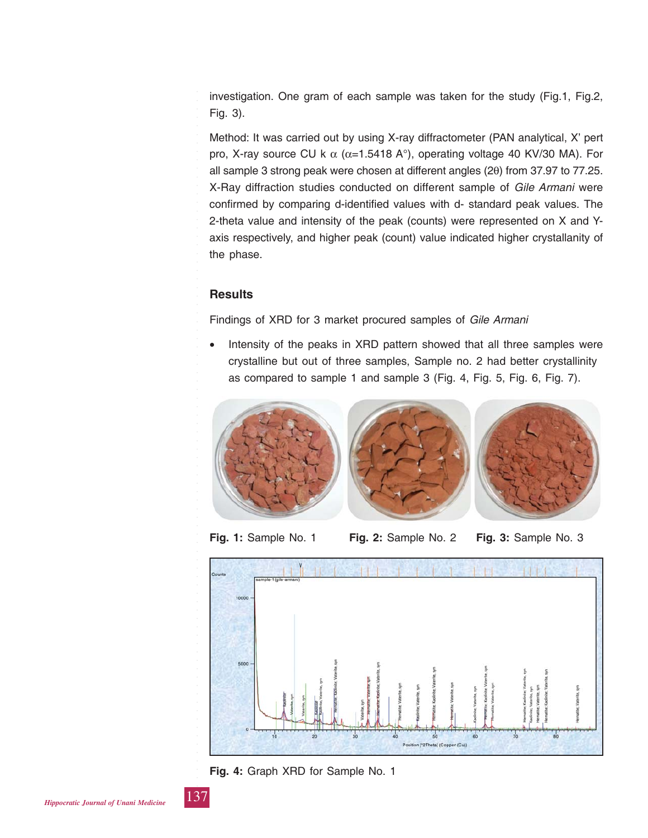investigation. One gram of each sample was taken for the study (Fig.1, Fig.2, Fig. 3).

Method: It was carried out by using X-ray diffractometer (PAN analytical, X' pert pro, X-ray source CU k  $\alpha$  ( $\alpha$ =1.5418 A°), operating voltage 40 KV/30 MA). For all sample 3 strong peak were chosen at different angles (2θ) from 37.97 to 77.25. X-Ray diffraction studies conducted on different sample of *Gile Armani* were confirmed by comparing d-identified values with d- standard peak values. The 2-theta value and intensity of the peak (counts) were represented on X and Yaxis respectively, and higher peak (count) value indicated higher crystallanity of the phase.

## **Results**

Findings of XRD for 3 market procured samples of *Gile Armani*

Intensity of the peaks in XRD pattern showed that all three samples were crystalline but out of three samples, Sample no. 2 had better crystallinity as compared to sample 1 and sample 3 (Fig. 4, Fig. 5, Fig. 6, Fig. 7).



**Fig. 1:** Sample No. 1 **Fig. 2:** Sample No. 2 **Fig. 3:** Sample No. 3



**Fig. 4:** Graph XRD for Sample No. 1

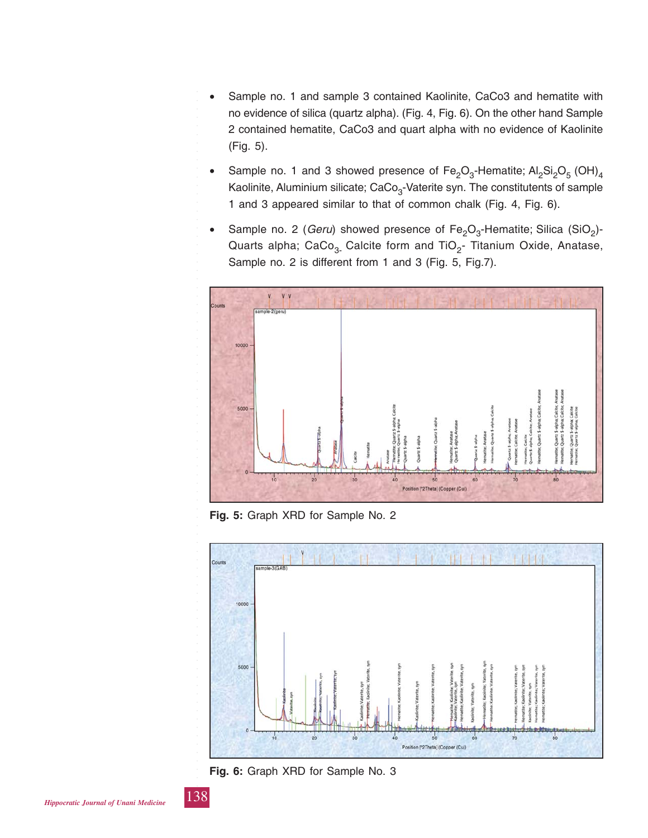- Sample no. 1 and sample 3 contained Kaolinite, CaCo3 and hematite with no evidence of silica (quartz alpha). (Fig. 4, Fig. 6). On the other hand Sample 2 contained hematite, CaCo3 and quart alpha with no evidence of Kaolinite (Fig. 5).
- Sample no. 1 and 3 showed presence of  $Fe<sub>2</sub>O<sub>3</sub>$ -Hematite;  $Al<sub>2</sub>Si<sub>2</sub>O<sub>5</sub> (OH)<sub>4</sub>$ Kaolinite, Aluminium silicate; CaCo<sub>3</sub>-Vaterite syn. The constitutents of sample 1 and 3 appeared similar to that of common chalk (Fig. 4, Fig. 6).
- Sample no. 2 (*Geru*) showed presence of Fe<sub>2</sub>O<sub>3</sub>-Hematite; Silica (SiO<sub>2</sub>)-Quarts alpha; CaCo<sub>3</sub>. Calcite form and TiO<sub>2</sub>- Titanium Oxide, Anatase, Sample no. 2 is different from 1 and 3 (Fig. 5, Fig.7).



**Fig. 5:** Graph XRD for Sample No. 2



**Fig. 6:** Graph XRD for Sample No. 3

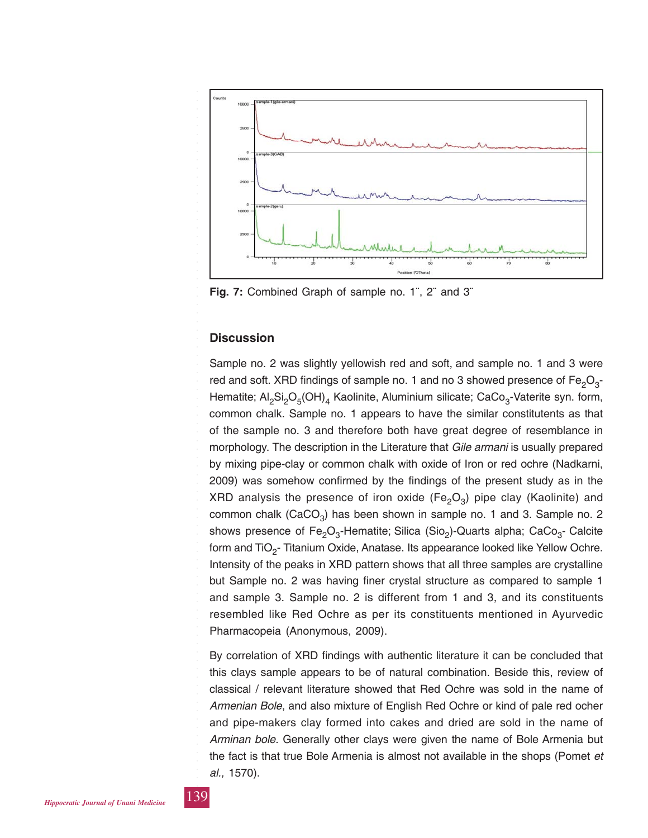

**Fig. 7:** Combined Graph of sample no. 1¨, 2¨ and 3¨

#### **Discussion**

Sample no. 2 was slightly yellowish red and soft, and sample no. 1 and 3 were red and soft. XRD findings of sample no. 1 and no 3 showed presence of  $Fe<sub>2</sub>O<sub>3</sub>$ -Hematite;  $Al_2Si_2O_5(OH)_4$  Kaolinite, Aluminium silicate; CaCo<sub>3</sub>-Vaterite syn. form, common chalk. Sample no. 1 appears to have the similar constitutents as that of the sample no. 3 and therefore both have great degree of resemblance in morphology. The description in the Literature that *Gile armani* is usually prepared by mixing pipe-clay or common chalk with oxide of Iron or red ochre (Nadkarni, 2009) was somehow confirmed by the findings of the present study as in the XRD analysis the presence of iron oxide (Fe<sub>2</sub>O<sub>3</sub>) pipe clay (Kaolinite) and common chalk (CaCO<sub>3</sub>) has been shown in sample no. 1 and 3. Sample no. 2 shows presence of Fe<sub>2</sub>O<sub>3</sub>-Hematite; Silica (Sio<sub>2</sub>)-Quarts alpha; CaCo<sub>3</sub>- Calcite form and  $TiO<sub>2</sub>$ - Titanium Oxide, Anatase. Its appearance looked like Yellow Ochre. Intensity of the peaks in XRD pattern shows that all three samples are crystalline but Sample no. 2 was having finer crystal structure as compared to sample 1 and sample 3. Sample no. 2 is different from 1 and 3, and its constituents resembled like Red Ochre as per its constituents mentioned in Ayurvedic Pharmacopeia (Anonymous, 2009).

By correlation of XRD findings with authentic literature it can be concluded that this clays sample appears to be of natural combination. Beside this, review of classical / relevant literature showed that Red Ochre was sold in the name of *Armenian Bole*, and also mixture of English Red Ochre or kind of pale red ocher and pipe-makers clay formed into cakes and dried are sold in the name of *Arminan bole.* Generally other clays were given the name of Bole Armenia but the fact is that true Bole Armenia is almost not available in the shops (Pomet *et al.,* 1570).



○○○○○○○○○○○○○○○○○○○○○○○○○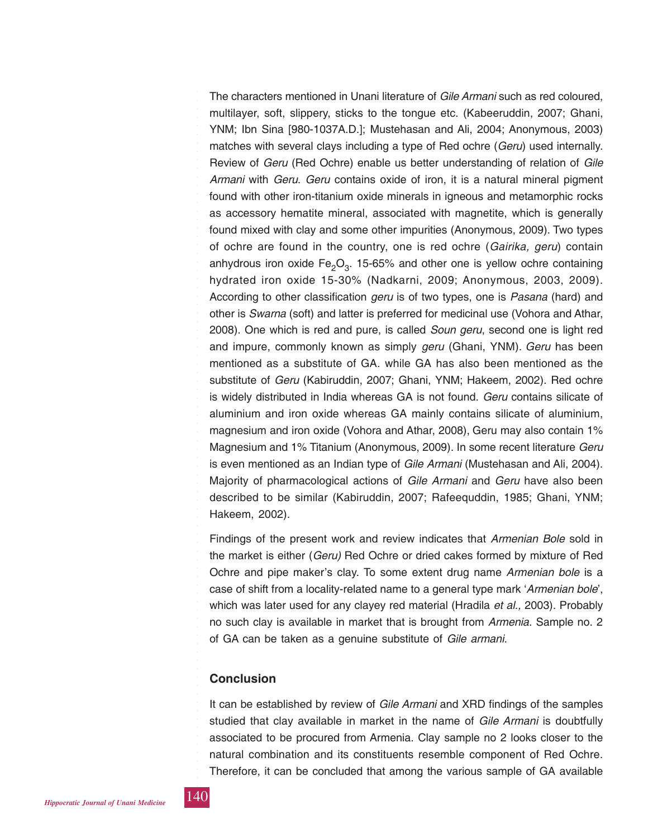The characters mentioned in Unani literature of *Gile Armani* such as red coloured, multilayer, soft, slippery, sticks to the tongue etc. (Kabeeruddin, 2007; Ghani, YNM; Ibn Sina [980-1037A.D.]; Mustehasan and Ali, 2004; Anonymous, 2003) matches with several clays including a type of Red ochre (*Geru*) used internally. Review of *Geru* (Red Ochre) enable us better understanding of relation of *Gile Armani* with *Geru*. *Geru* contains oxide of iron, it is a natural mineral pigment found with other iron-titanium oxide minerals in igneous and metamorphic rocks as accessory hematite mineral, associated with magnetite, which is generally found mixed with clay and some other impurities (Anonymous, 2009). Two types of ochre are found in the country, one is red ochre (*Gairika, geru*) contain anhydrous iron oxide  $Fe<sub>2</sub>O<sub>3</sub>$ . 15-65% and other one is yellow ochre containing hydrated iron oxide 15-30% (Nadkarni, 2009; Anonymous, 2003, 2009). According to other classification *geru* is of two types, one is *Pasana* (hard) and other is *Swarna* (soft) and latter is preferred for medicinal use (Vohora and Athar, 2008). One which is red and pure, is called *Soun geru*, second one is light red and impure, commonly known as simply *geru* (Ghani, YNM). *Geru* has been mentioned as a substitute of GA. while GA has also been mentioned as the substitute of *Geru* (Kabiruddin, 2007; Ghani, YNM; Hakeem, 2002). Red ochre is widely distributed in India whereas GA is not found. *Geru* contains silicate of aluminium and iron oxide whereas GA mainly contains silicate of aluminium, magnesium and iron oxide (Vohora and Athar, 2008), Geru may also contain 1% Magnesium and 1% Titanium (Anonymous, 2009). In some recent literature *Geru* is even mentioned as an Indian type of *Gile Armani* (Mustehasan and Ali, 2004). Majority of pharmacological actions of *Gile Armani* and *Geru* have also been described to be similar (Kabiruddin, 2007; Rafeequddin, 1985; Ghani, YNM; Hakeem, 2002).

Findings of the present work and review indicates that *Armenian Bole* sold in the market is either (*Geru)* Red Ochre or dried cakes formed by mixture of Red Ochre and pipe maker's clay. To some extent drug name *Armenian bole* is a case of shift from a locality-related name to a general type mark '*Armenian bole*', which was later used for any clayey red material (Hradila *et al.,* 2003). Probably no such clay is available in market that is brought from *Armenia*. Sample no. 2 of GA can be taken as a genuine substitute of *Gile armani.*

## **Conclusion**

It can be established by review of *Gile Armani* and XRD findings of the samples studied that clay available in market in the name of *Gile Armani* is doubtfully associated to be procured from Armenia. Clay sample no 2 looks closer to the natural combination and its constituents resemble component of Red Ochre. Therefore, it can be concluded that among the various sample of GA available



○○○○○○○○○○○○○○○○○○○○○○○○○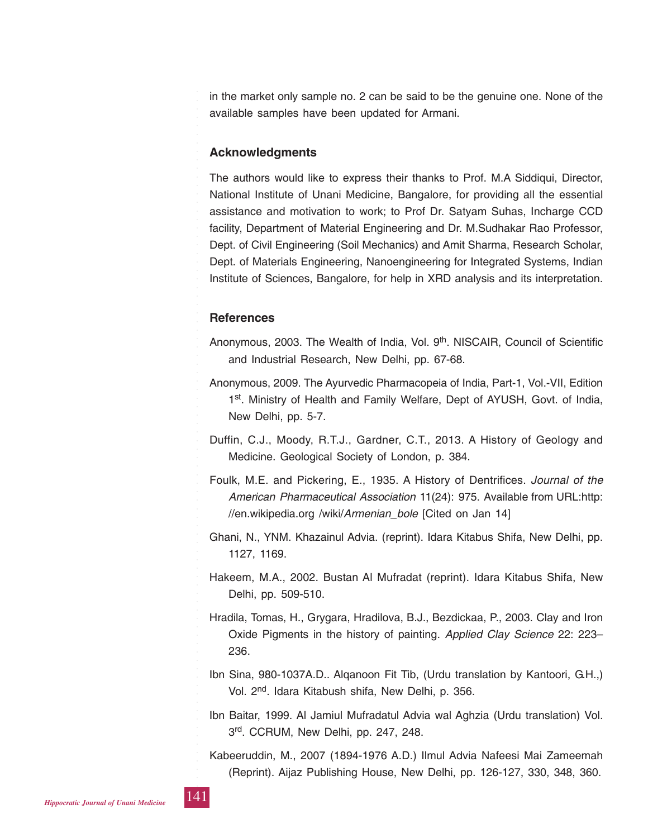in the market only sample no. 2 can be said to be the genuine one. None of the available samples have been updated for Armani.

## **Acknowledgments**

The authors would like to express their thanks to Prof. M.A Siddiqui, Director, National Institute of Unani Medicine, Bangalore, for providing all the essential assistance and motivation to work; to Prof Dr. Satyam Suhas, Incharge CCD facility, Department of Material Engineering and Dr. M.Sudhakar Rao Professor, Dept. of Civil Engineering (Soil Mechanics) and Amit Sharma, Research Scholar, Dept. of Materials Engineering, Nanoengineering for Integrated Systems, Indian Institute of Sciences, Bangalore, for help in XRD analysis and its interpretation.

#### **References**

- Anonymous, 2003. The Wealth of India, Vol. 9<sup>th</sup>. NISCAIR, Council of Scientific and Industrial Research, New Delhi, pp. 67-68.
- Anonymous, 2009. The Ayurvedic Pharmacopeia of India, Part-1, Vol.-VII, Edition 1<sup>st</sup>. Ministry of Health and Family Welfare, Dept of AYUSH, Govt. of India, New Delhi, pp. 5-7.
- Duffin, C.J., Moody, R.T.J., Gardner, C.T., 2013. A History of Geology and Medicine. Geological Society of London, p. 384.
- Foulk, M.E. and Pickering, E., 1935. A History of Dentrifices. *Journal of the American Pharmaceutical Association* 11(24): 975. Available from URL:http: //en.wikipedia.org /wiki/*Armenian\_bole* [Cited on Jan 14]
- Ghani, N., YNM. Khazainul Advia. (reprint). Idara Kitabus Shifa, New Delhi, pp. 1127, 1169.
- Hakeem, M.A., 2002. Bustan Al Mufradat (reprint). Idara Kitabus Shifa, New Delhi, pp. 509-510.
- Hradila, Tomas, H., Grygara, Hradilova, B.J., Bezdickaa, P., 2003. Clay and Iron Oxide Pigments in the history of painting. *Applied Clay Science* 22: 223– 236.
- Ibn Sina, 980-1037A.D.. Alqanoon Fit Tib, (Urdu translation by Kantoori, G.H.,) Vol. 2<sup>nd</sup>. Idara Kitabush shifa, New Delhi, p. 356.
- Ibn Baitar, 1999. Al Jamiul Mufradatul Advia wal Aghzia (Urdu translation) Vol. 3rd. CCRUM, New Delhi, pp. 247, 248.
- Kabeeruddin, M., 2007 (1894-1976 A.D.) Ilmul Advia Nafeesi Mai Zameemah (Reprint). Aijaz Publishing House, New Delhi, pp. 126-127, 330, 348, 360.